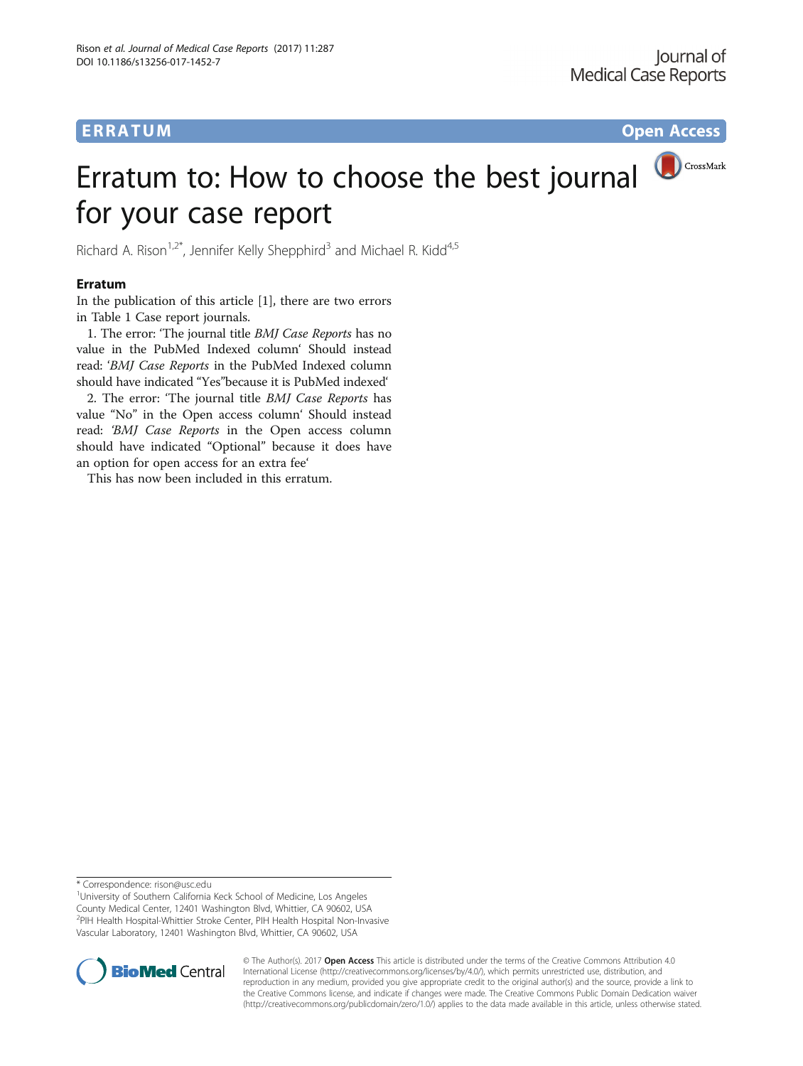# **ERRATUM ERRATUM CONSUMING ACCESS**

# CrossMark Erratum to: How to choose the best journal for your case report

Richard A. Rison<sup>1,2\*</sup>, Jennifer Kelly Shepphird<sup>3</sup> and Michael R. Kidd<sup>4,5</sup>

#### Erratum

In the publication of this article [[1](#page-5-0)], there are two errors in Table [1](#page-1-0) Case report journals.

1. The error: 'The journal title BMJ Case Reports has no value in the PubMed Indexed column' Should instead read: 'BMJ Case Reports in the PubMed Indexed column should have indicated "Yes"because it is PubMed indexed'

2. The error: 'The journal title BMJ Case Reports has value "No" in the Open access column' Should instead read: 'BMJ Case Reports in the Open access column should have indicated "Optional" because it does have an option for open access for an extra fee'

This has now been included in this erratum.

\* Correspondence: [rison@usc.edu](mailto:rison@usc.edu) <sup>1</sup>

<sup>1</sup> University of Southern California Keck School of Medicine, Los Angeles County Medical Center, 12401 Washington Blvd, Whittier, CA 90602, USA 2 PIH Health Hospital-Whittier Stroke Center, PIH Health Hospital Non-Invasive Vascular Laboratory, 12401 Washington Blvd, Whittier, CA 90602, USA



© The Author(s). 2017 **Open Access** This article is distributed under the terms of the Creative Commons Attribution 4.0 International License [\(http://creativecommons.org/licenses/by/4.0/](http://creativecommons.org/licenses/by/4.0/)), which permits unrestricted use, distribution, and reproduction in any medium, provided you give appropriate credit to the original author(s) and the source, provide a link to the Creative Commons license, and indicate if changes were made. The Creative Commons Public Domain Dedication waiver [\(http://creativecommons.org/publicdomain/zero/1.0/](http://creativecommons.org/publicdomain/zero/1.0/)) applies to the data made available in this article, unless otherwise stated.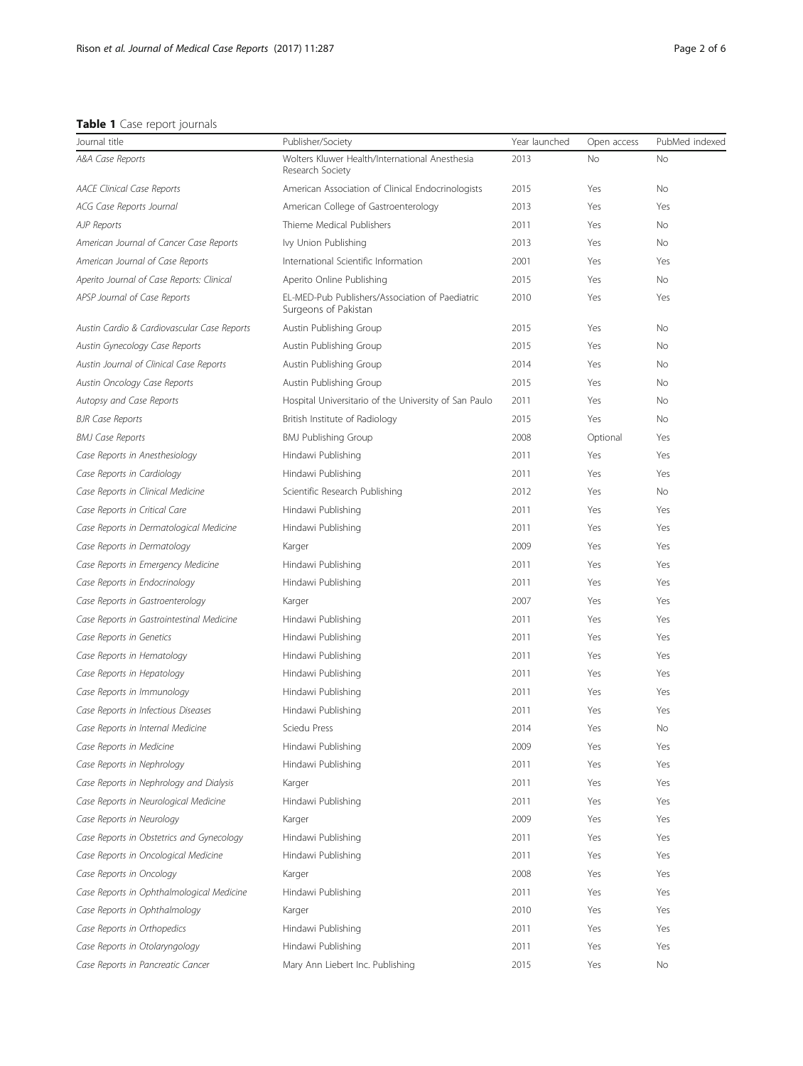### <span id="page-1-0"></span>Table 1 Case report journals

| Journal title                               | Publisher/Society                                                       | Year launched | Open access | PubMed indexed |
|---------------------------------------------|-------------------------------------------------------------------------|---------------|-------------|----------------|
| A&A Case Reports                            | Wolters Kluwer Health/International Anesthesia<br>Research Society      | 2013          | <b>No</b>   | No             |
| <b>AACE Clinical Case Reports</b>           | American Association of Clinical Endocrinologists                       | 2015          | Yes         | <b>No</b>      |
| ACG Case Reports Journal                    | American College of Gastroenterology                                    | 2013          | Yes         | Yes            |
| <b>AJP Reports</b>                          | Thieme Medical Publishers                                               | 2011          | Yes         | <b>No</b>      |
| American Journal of Cancer Case Reports     | Ivy Union Publishing                                                    | 2013          | Yes         | <b>No</b>      |
| American Journal of Case Reports            | International Scientific Information                                    | 2001          | Yes         | Yes            |
| Aperito Journal of Case Reports: Clinical   | Aperito Online Publishing                                               | 2015          | Yes         | <b>No</b>      |
| APSP Journal of Case Reports                | EL-MED-Pub Publishers/Association of Paediatric<br>Surgeons of Pakistan | 2010          | Yes         | Yes            |
| Austin Cardio & Cardiovascular Case Reports | Austin Publishing Group                                                 | 2015          | Yes         | <b>No</b>      |
| Austin Gynecology Case Reports              | Austin Publishing Group                                                 | 2015          | Yes         | No             |
| Austin Journal of Clinical Case Reports     | Austin Publishing Group                                                 | 2014          | Yes         | <b>No</b>      |
| Austin Oncology Case Reports                | Austin Publishing Group                                                 | 2015          | Yes         | <b>No</b>      |
| Autopsy and Case Reports                    | Hospital Universitario of the University of San Paulo                   | 2011          | Yes         | <b>No</b>      |
| <b>BJR Case Reports</b>                     | British Institute of Radiology                                          | 2015          | Yes         | <b>No</b>      |
| <b>BMJ Case Reports</b>                     | <b>BMJ Publishing Group</b>                                             | 2008          | Optional    | Yes            |
| Case Reports in Anesthesiology              | Hindawi Publishing                                                      | 2011          | Yes         | Yes            |
| Case Reports in Cardiology                  | Hindawi Publishing                                                      | 2011          | Yes         | Yes            |
| Case Reports in Clinical Medicine           | Scientific Research Publishing                                          | 2012          | Yes         | <b>No</b>      |
| Case Reports in Critical Care               | Hindawi Publishing                                                      | 2011          | Yes         | Yes            |
| Case Reports in Dermatological Medicine     | Hindawi Publishing                                                      | 2011          | Yes         | Yes            |
| Case Reports in Dermatology                 | Karger                                                                  | 2009          | Yes         | Yes            |
| Case Reports in Emergency Medicine          | Hindawi Publishing                                                      | 2011          | Yes         | Yes            |
| Case Reports in Endocrinology               | Hindawi Publishing                                                      | 2011          | Yes         | Yes            |
| Case Reports in Gastroenterology            | Karger                                                                  | 2007          | Yes         | Yes            |
| Case Reports in Gastrointestinal Medicine   | Hindawi Publishing                                                      | 2011          | Yes         | Yes            |
| Case Reports in Genetics                    | Hindawi Publishing                                                      | 2011          | Yes         | Yes            |
| Case Reports in Hematology                  | Hindawi Publishing                                                      | 2011          | Yes         | Yes            |
| Case Reports in Hepatology                  | Hindawi Publishing                                                      | 2011          | Yes         | Yes            |
| Case Reports in Immunology                  | Hindawi Publishing                                                      | 2011          | Yes         | Yes            |
| Case Reports in Infectious Diseases         | Hindawi Publishing                                                      | 2011          | Yes         | Yes            |
| Case Reports in Internal Medicine           | Sciedu Press                                                            | 2014          | Yes         | No             |
| Case Reports in Medicine                    | Hindawi Publishing                                                      | 2009          | Yes         | Yes            |
| Case Reports in Nephrology                  | Hindawi Publishing                                                      | 2011          | Yes         | Yes            |
| Case Reports in Nephrology and Dialysis     | Karger                                                                  | 2011          | Yes         | Yes            |
| Case Reports in Neurological Medicine       | Hindawi Publishing                                                      | 2011          | Yes         | Yes            |
| Case Reports in Neurology                   | Karger                                                                  | 2009          | Yes         | Yes            |
| Case Reports in Obstetrics and Gynecology   | Hindawi Publishing                                                      | 2011          | Yes         | Yes            |
| Case Reports in Oncological Medicine        | Hindawi Publishing                                                      | 2011          | Yes         | Yes            |
| Case Reports in Oncology                    | Karger                                                                  | 2008          | Yes         | Yes            |
| Case Reports in Ophthalmological Medicine   | Hindawi Publishing                                                      | 2011          | Yes         | Yes            |
| Case Reports in Ophthalmology               | Karger                                                                  | 2010          | Yes         | Yes            |
| Case Reports in Orthopedics                 | Hindawi Publishing                                                      | 2011          | Yes         | Yes            |
| Case Reports in Otolaryngology              | Hindawi Publishing                                                      | 2011          | Yes         | Yes            |
| Case Reports in Pancreatic Cancer           | Mary Ann Liebert Inc. Publishing                                        | 2015          | Yes         | No             |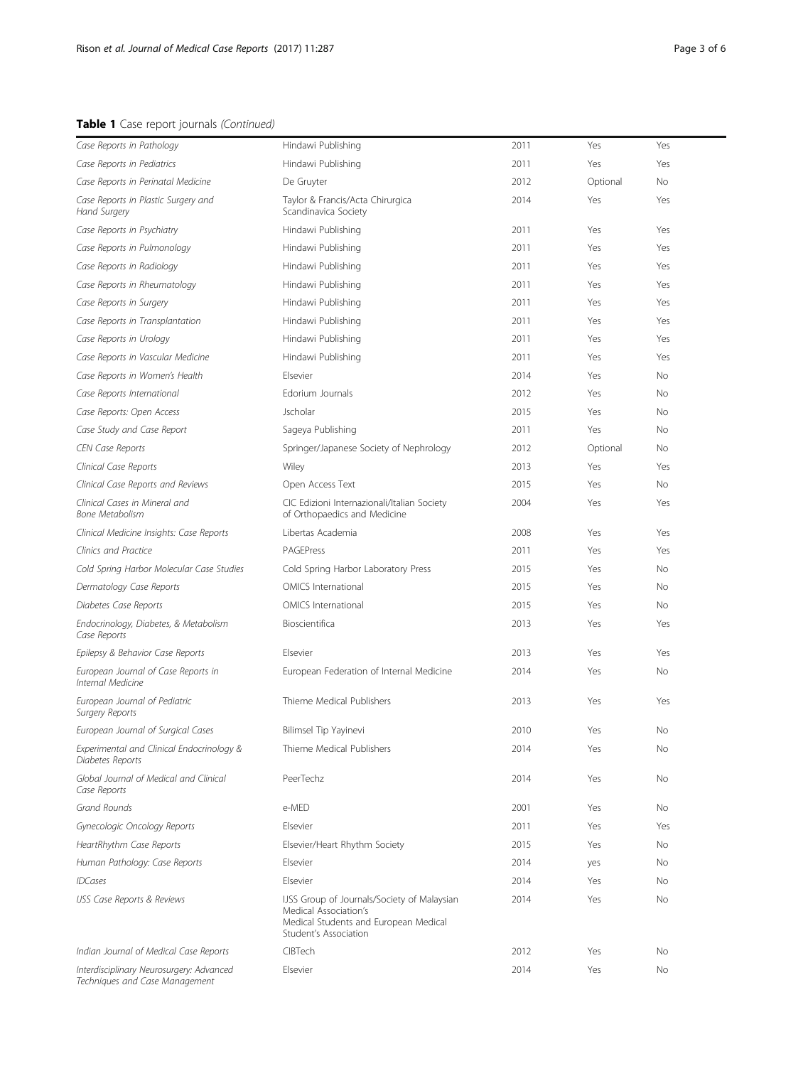## Table 1 Case report journals (Continued)

| Case Reports in Pathology                                     | Hindawi Publishing                                                                                                                     | 2011 | Yes      | Yes |  |
|---------------------------------------------------------------|----------------------------------------------------------------------------------------------------------------------------------------|------|----------|-----|--|
| Case Reports in Pediatrics                                    | Hindawi Publishing                                                                                                                     | 2011 | Yes      | Yes |  |
| Case Reports in Perinatal Medicine                            | De Gruyter                                                                                                                             | 2012 | Optional | No  |  |
| Case Reports in Plastic Surgery and<br>Hand Surgery           | Taylor & Francis/Acta Chirurgica<br>Scandinavica Society                                                                               | 2014 | Yes      | Yes |  |
| Case Reports in Psychiatry                                    | Hindawi Publishing                                                                                                                     | 2011 | Yes      | Yes |  |
| Case Reports in Pulmonology                                   | Hindawi Publishing                                                                                                                     | 2011 | Yes      | Yes |  |
| Case Reports in Radiology                                     | Hindawi Publishing                                                                                                                     | 2011 | Yes      | Yes |  |
| Case Reports in Rheumatology                                  | Hindawi Publishing                                                                                                                     | 2011 | Yes      | Yes |  |
| Case Reports in Surgery                                       | Hindawi Publishing                                                                                                                     | 2011 | Yes      | Yes |  |
| Case Reports in Transplantation                               | Hindawi Publishing                                                                                                                     | 2011 | Yes      | Yes |  |
| Case Reports in Urology                                       | Hindawi Publishing                                                                                                                     | 2011 | Yes      | Yes |  |
| Case Reports in Vascular Medicine                             | Hindawi Publishing                                                                                                                     | 2011 | Yes      | Yes |  |
| Case Reports in Women's Health                                | Elsevier                                                                                                                               | 2014 | Yes      | No  |  |
| Case Reports International                                    | Edorium Journals                                                                                                                       | 2012 | Yes      | No  |  |
| Case Reports: Open Access                                     | Jscholar                                                                                                                               | 2015 | Yes      | No  |  |
| Case Study and Case Report                                    | Sageya Publishing                                                                                                                      | 2011 | Yes      | No  |  |
| <b>CEN Case Reports</b>                                       | Springer/Japanese Society of Nephrology                                                                                                | 2012 | Optional | No  |  |
| Clinical Case Reports                                         | Wiley                                                                                                                                  | 2013 | Yes      | Yes |  |
| Clinical Case Reports and Reviews                             | Open Access Text                                                                                                                       | 2015 | Yes      | No  |  |
| Clinical Cases in Mineral and<br><b>Bone Metabolism</b>       | CIC Edizioni Internazionali/Italian Society<br>of Orthopaedics and Medicine                                                            | 2004 | Yes      | Yes |  |
| Clinical Medicine Insights: Case Reports                      | Libertas Academia                                                                                                                      | 2008 | Yes      | Yes |  |
| Clinics and Practice                                          | PAGEPress                                                                                                                              | 2011 | Yes      | Yes |  |
| Cold Spring Harbor Molecular Case Studies                     | Cold Spring Harbor Laboratory Press                                                                                                    | 2015 | Yes      | No  |  |
| Dermatology Case Reports                                      | <b>OMICS</b> International                                                                                                             | 2015 | Yes      | No  |  |
| Diabetes Case Reports                                         | OMICS International                                                                                                                    | 2015 | Yes      | No  |  |
| Endocrinology, Diabetes, & Metabolism<br>Case Reports         | Bioscientifica                                                                                                                         | 2013 | Yes      | Yes |  |
| Epilepsy & Behavior Case Reports                              | Elsevier                                                                                                                               | 2013 | Yes      | Yes |  |
| European Journal of Case Reports in<br>Internal Medicine      | European Federation of Internal Medicine                                                                                               | 2014 | Yes      | No  |  |
| European Journal of Pediatric<br><b>Surgery Reports</b>       | Thieme Medical Publishers                                                                                                              | 2013 | Yes      | Yes |  |
| European Journal of Surgical Cases                            | Bilimsel Tip Yayinevi                                                                                                                  | 2010 | Yes      | No  |  |
| Experimental and Clinical Endocrinology &<br>Diabetes Reports | Thieme Medical Publishers                                                                                                              | 2014 | Yes      | No  |  |
| Global Journal of Medical and Clinical<br>Case Reports        | PeerTechz                                                                                                                              | 2014 | Yes      | No  |  |
| Grand Rounds                                                  | e-MED                                                                                                                                  | 2001 | Yes      | No  |  |
| Gynecologic Oncology Reports                                  | Elsevier                                                                                                                               | 2011 | Yes      | Yes |  |
| HeartRhythm Case Reports                                      | Elsevier/Heart Rhythm Society                                                                                                          | 2015 | Yes      | No  |  |
| Human Pathology: Case Reports                                 | Elsevier                                                                                                                               | 2014 | yes      | No  |  |
| <b>IDCases</b>                                                | Flsevier                                                                                                                               | 2014 | Yes      | No  |  |
| IJSS Case Reports & Reviews                                   | IJSS Group of Journals/Society of Malaysian<br>Medical Association's<br>Medical Students and European Medical<br>Student's Association | 2014 | Yes      | No  |  |
| Indian Journal of Medical Case Reports                        | CIBTech                                                                                                                                | 2012 | Yes      | No  |  |
| Interdisciplinary Neurosurgery: Advanced                      | Elsevier                                                                                                                               | 2014 | Yes      | No  |  |

Techniques and Case Management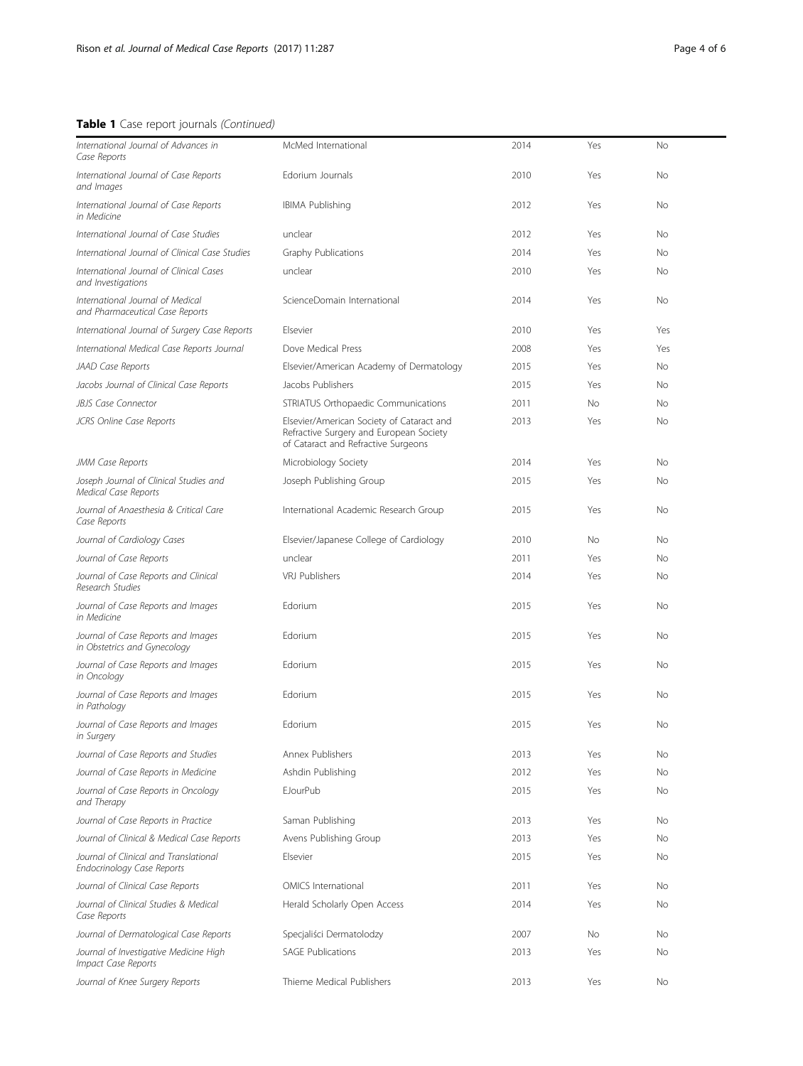## Table 1 Case report journals (Continued)

| International Journal of Advances in<br>Case Reports                  | McMed International                                                                                                         | 2014 | Yes | No        |  |
|-----------------------------------------------------------------------|-----------------------------------------------------------------------------------------------------------------------------|------|-----|-----------|--|
| International Journal of Case Reports<br>and Images                   | Edorium Journals                                                                                                            | 2010 | Yes | <b>No</b> |  |
| International Journal of Case Reports<br>in Medicine                  | <b>IBIMA Publishing</b>                                                                                                     | 2012 | Yes | No        |  |
| International Journal of Case Studies                                 | unclear                                                                                                                     | 2012 | Yes | No        |  |
| International Journal of Clinical Case Studies                        | Graphy Publications                                                                                                         | 2014 | Yes | No        |  |
| International Journal of Clinical Cases<br>and Investigations         | unclear                                                                                                                     | 2010 | Yes | No        |  |
| International Journal of Medical<br>and Pharmaceutical Case Reports   | ScienceDomain International                                                                                                 | 2014 | Yes | No        |  |
| International Journal of Surgery Case Reports                         | Elsevier                                                                                                                    | 2010 | Yes | Yes       |  |
| International Medical Case Reports Journal                            | Dove Medical Press                                                                                                          | 2008 | Yes | Yes       |  |
| JAAD Case Reports                                                     | Elsevier/American Academy of Dermatology                                                                                    | 2015 | Yes | No        |  |
| Jacobs Journal of Clinical Case Reports                               | Jacobs Publishers                                                                                                           | 2015 | Yes | No        |  |
| <b>JBJS Case Connector</b>                                            | STRIATUS Orthopaedic Communications                                                                                         | 2011 | No  | No        |  |
| JCRS Online Case Reports                                              | Elsevier/American Society of Cataract and<br>Refractive Surgery and European Society<br>of Cataract and Refractive Surgeons | 2013 | Yes | No        |  |
| JMM Case Reports                                                      | Microbiology Society                                                                                                        | 2014 | Yes | No        |  |
| Joseph Journal of Clinical Studies and<br><b>Medical Case Reports</b> | Joseph Publishing Group                                                                                                     | 2015 | Yes | No        |  |
| Journal of Anaesthesia & Critical Care<br>Case Reports                | International Academic Research Group                                                                                       | 2015 | Yes | No        |  |
| Journal of Cardiology Cases                                           | Elsevier/Japanese College of Cardiology                                                                                     | 2010 | No  | No        |  |
| Journal of Case Reports                                               | unclear                                                                                                                     | 2011 | Yes | No        |  |
| Journal of Case Reports and Clinical<br>Research Studies              | <b>VRJ Publishers</b>                                                                                                       | 2014 | Yes | No        |  |
| Journal of Case Reports and Images<br>in Medicine                     | Edorium                                                                                                                     | 2015 | Yes | No        |  |
| Journal of Case Reports and Images<br>in Obstetrics and Gynecology    | Edorium                                                                                                                     | 2015 | Yes | No        |  |
| Journal of Case Reports and Images<br>in Oncology                     | Edorium                                                                                                                     | 2015 | Yes | No        |  |
| Journal of Case Reports and Images<br>in Pathology                    | Edorium                                                                                                                     | 2015 | Yes | No        |  |
| Journal of Case Reports and Images<br>in Surgery                      | Edorium                                                                                                                     | 2015 | Yes | No        |  |
| Journal of Case Reports and Studies                                   | Annex Publishers                                                                                                            | 2013 | Yes | No        |  |
| Journal of Case Reports in Medicine                                   | Ashdin Publishing                                                                                                           | 2012 | Yes | No        |  |
| Journal of Case Reports in Oncology<br>and Therapy                    | <b>EJourPub</b>                                                                                                             | 2015 | Yes | No        |  |
| Journal of Case Reports in Practice                                   | Saman Publishing                                                                                                            | 2013 | Yes | No        |  |
| Journal of Clinical & Medical Case Reports                            | Avens Publishing Group                                                                                                      | 2013 | Yes | No        |  |
| Journal of Clinical and Translational<br>Endocrinology Case Reports   | Elsevier                                                                                                                    | 2015 | Yes | No        |  |
| Journal of Clinical Case Reports                                      | OMICS International                                                                                                         | 2011 | Yes | No        |  |
| Journal of Clinical Studies & Medical<br>Case Reports                 | Herald Scholarly Open Access                                                                                                | 2014 | Yes | No        |  |
| Journal of Dermatological Case Reports                                | Specjaliści Dermatolodzy                                                                                                    | 2007 | No  | No        |  |
| Journal of Investigative Medicine High<br>Impact Case Reports         | <b>SAGE Publications</b>                                                                                                    | 2013 | Yes | No        |  |
| Journal of Knee Surgery Reports                                       | Thieme Medical Publishers                                                                                                   | 2013 | Yes | No        |  |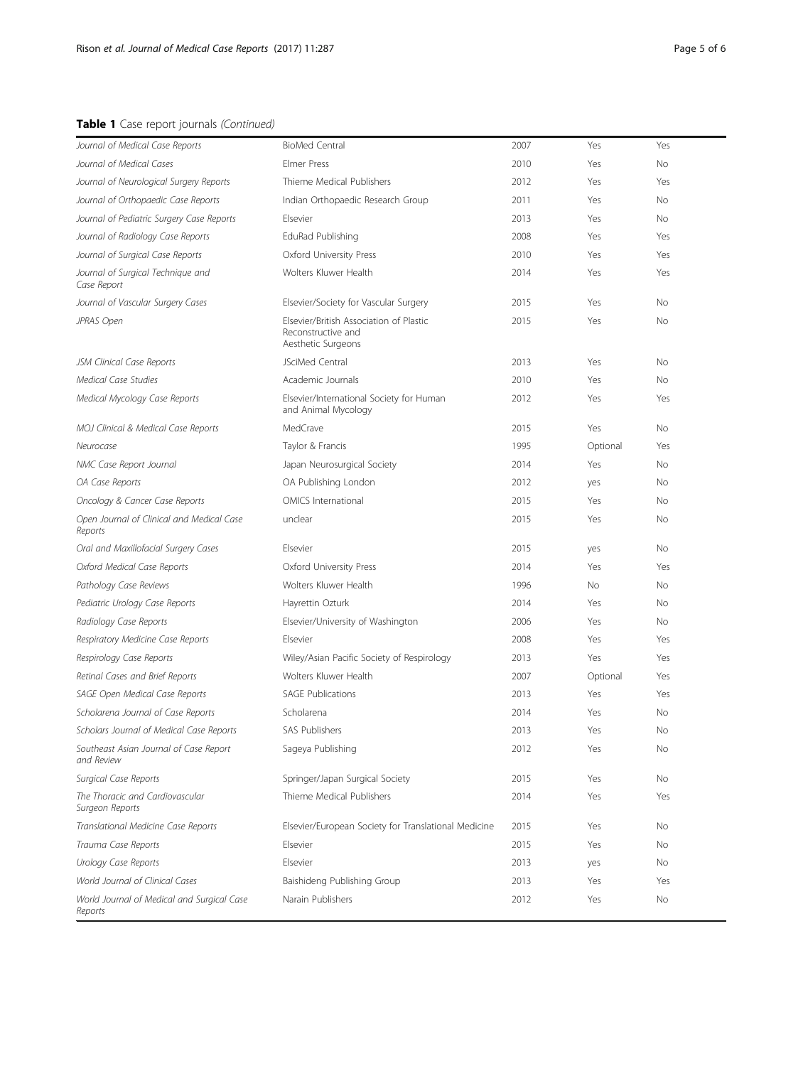### Table 1 Case report journals (Continued)

| Journal of Medical Case Reports                       | <b>BioMed Central</b>                                                               | 2007 | Yes       | Yes       |
|-------------------------------------------------------|-------------------------------------------------------------------------------------|------|-----------|-----------|
| Journal of Medical Cases                              | <b>Elmer Press</b>                                                                  | 2010 | Yes       | No        |
| Journal of Neurological Surgery Reports               | Thieme Medical Publishers                                                           | 2012 | Yes       | Yes       |
| Journal of Orthopaedic Case Reports                   | Indian Orthopaedic Research Group                                                   | 2011 | Yes       | No        |
| Journal of Pediatric Surgery Case Reports             | Elsevier                                                                            | 2013 | Yes       | No.       |
| Journal of Radiology Case Reports                     | EduRad Publishing                                                                   | 2008 | Yes       | Yes       |
| Journal of Surgical Case Reports                      | Oxford University Press                                                             | 2010 | Yes       | Yes       |
| Journal of Surgical Technique and<br>Case Report      | Wolters Kluwer Health                                                               | 2014 | Yes       | Yes       |
| Journal of Vascular Surgery Cases                     | Elsevier/Society for Vascular Surgery                                               | 2015 | Yes       | No        |
| JPRAS Open                                            | Elsevier/British Association of Plastic<br>Reconstructive and<br>Aesthetic Surgeons | 2015 | Yes       | No.       |
| JSM Clinical Case Reports                             | JSciMed Central                                                                     | 2013 | Yes       | No        |
| Medical Case Studies                                  | Academic Journals                                                                   | 2010 | Yes       | No.       |
| Medical Mycology Case Reports                         | Elsevier/International Society for Human<br>and Animal Mycology                     | 2012 | Yes       | Yes       |
| MOJ Clinical & Medical Case Reports                   | MedCrave                                                                            | 2015 | Yes       | No.       |
| Neurocase                                             | Taylor & Francis                                                                    | 1995 | Optional  | Yes       |
| NMC Case Report Journal                               | Japan Neurosurgical Society                                                         | 2014 | Yes       | No        |
| OA Case Reports                                       | OA Publishing London                                                                | 2012 | yes       | No.       |
| Oncology & Cancer Case Reports                        | <b>OMICS</b> International                                                          | 2015 | Yes       | No.       |
| Open Journal of Clinical and Medical Case<br>Reports  | unclear                                                                             | 2015 | Yes       | No        |
| Oral and Maxillofacial Surgery Cases                  | Elsevier                                                                            | 2015 | yes       | No        |
| Oxford Medical Case Reports                           | Oxford University Press                                                             | 2014 | Yes       | Yes       |
| Pathology Case Reviews                                | Wolters Kluwer Health                                                               | 1996 | <b>No</b> | No.       |
| Pediatric Urology Case Reports                        | Hayrettin Ozturk                                                                    | 2014 | Yes       | No        |
| Radiology Case Reports                                | Elsevier/University of Washington                                                   | 2006 | Yes       | No.       |
| Respiratory Medicine Case Reports                     | Elsevier                                                                            | 2008 | Yes       | Yes       |
| Respirology Case Reports                              | Wiley/Asian Pacific Society of Respirology                                          | 2013 | Yes       | Yes       |
| Retinal Cases and Brief Reports                       | Wolters Kluwer Health                                                               | 2007 | Optional  | Yes       |
| SAGE Open Medical Case Reports                        | <b>SAGE Publications</b>                                                            | 2013 | Yes       | Yes       |
| Scholarena Journal of Case Reports                    | Scholarena                                                                          | 2014 | Yes       | No        |
| Scholars Journal of Medical Case Reports              | <b>SAS Publishers</b>                                                               | 2013 | Yes       | <b>No</b> |
| Southeast Asian Journal of Case Report<br>and Review  | Sageya Publishing                                                                   | 2012 | Yes       | No.       |
| Surgical Case Reports                                 | Springer/Japan Surgical Society                                                     | 2015 | Yes       | No        |
| The Thoracic and Cardiovascular<br>Surgeon Reports    | Thieme Medical Publishers                                                           | 2014 | Yes       | Yes       |
| Translational Medicine Case Reports                   | Elsevier/European Society for Translational Medicine                                | 2015 | Yes       | No        |
| Trauma Case Reports                                   | Elsevier                                                                            | 2015 | Yes       | No.       |
| Urology Case Reports                                  | Elsevier                                                                            | 2013 | yes       | No.       |
| World Journal of Clinical Cases                       | Baishideng Publishing Group                                                         | 2013 | Yes       | Yes       |
| World Journal of Medical and Surgical Case<br>Reports | Narain Publishers                                                                   | 2012 | Yes       | No        |